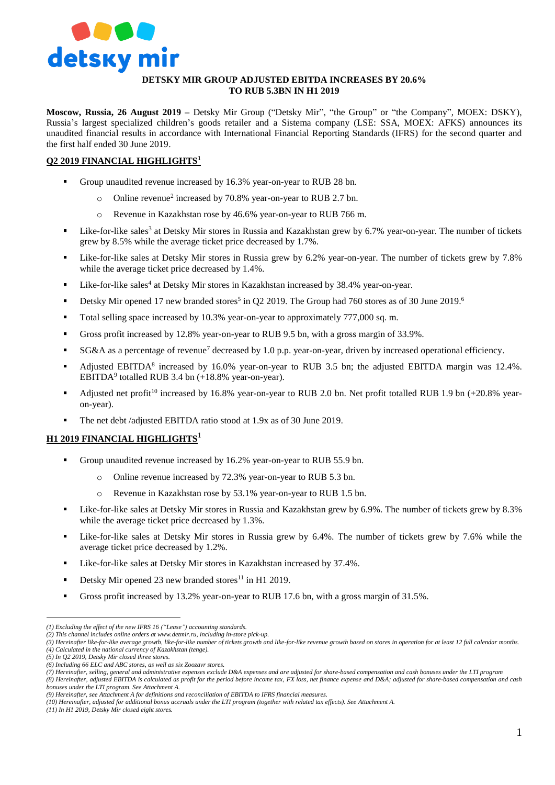

## **DETSKY MIR GROUP ADJUSTED EBITDA INCREASES BY 20.6% TO RUB 5.3BN IN H1 2019**

**Moscow, Russia, 26 August 2019 –** Detsky Mir Group ("Detsky Mir", "the Group" or "the Company", MOEX: DSKY), Russia's largest specialized children's goods retailer and a Sistema company (LSE: SSA, MOEX: AFKS) announces its unaudited financial results in accordance with International Financial Reporting Standards (IFRS) for the second quarter and the first half ended 30 June 2019.

## **Q2 2019 FINANCIAL HIGHLIGHTS<sup>1</sup>**

- Group unaudited revenue increased by 16.3% year-on-year to RUB 28 bn.
	- o Online revenue<sup>2</sup> increased by 70.8% year-on-year to RUB 2.7 bn.
	- o Revenue in Kazakhstan rose by 46.6% year-on-year to RUB 766 m.
- **Example 1** Like-for-like sales<sup>3</sup> at Detsky Mir stores in Russia and Kazakhstan grew by 6.7% year-on-year. The number of tickets grew by 8.5% while the average ticket price decreased by 1.7%.
- Like-for-like sales at Detsky Mir stores in Russia grew by 6.2% year-on-year. The number of tickets grew by 7.8% while the average ticket price decreased by 1.4%.
- Uike-for-like sales<sup>4</sup> at Detsky Mir stores in Kazakhstan increased by 38.4% year-on-year.
- Detsky Mir opened 17 new branded stores<sup>5</sup> in Q2 2019. The Group had 760 stores as of 30 June 2019.<sup>6</sup>
- Total selling space increased by 10.3% year-on-year to approximately 777,000 sq. m.
- Gross profit increased by 12.8% year-on-year to RUB 9.5 bn, with a gross margin of 33.9%.
- $SG&A$  as a percentage of revenue<sup>7</sup> decreased by 1.0 p.p. year-on-year, driven by increased operational efficiency.
- Adjusted EBITDA<sup>8</sup> increased by 16.0% year-on-year to RUB 3.5 bn; the adjusted EBITDA margin was 12.4%. EBITDA<sup>9</sup> totalled RUB 3.4 bn (+18.8% year-on-year).
- Adjusted net profit<sup>10</sup> increased by 16.8% year-on-year to RUB 2.0 bn. Net profit totalled RUB 1.9 bn  $(+20.8\%$  yearon-year).
- The net debt /adjusted EBITDA ratio stood at 1.9x as of 30 June 2019.

#### **H1 2019 FINANCIAL HIGHLIGHTS**<sup>1</sup>

- Group unaudited revenue increased by 16.2% year-on-year to RUB 55.9 bn.
	- o Online revenue increased by 72.3% year-on-year to RUB 5.3 bn.
	- o Revenue in Kazakhstan rose by 53.1% year-on-year to RUB 1.5 bn.
- Like-for-like sales at Detsky Mir stores in Russia and Kazakhstan grew by 6.9%. The number of tickets grew by 8.3% while the average ticket price decreased by 1.3%.
- Like-for-like sales at Detsky Mir stores in Russia grew by 6.4%. The number of tickets grew by 7.6% while the average ticket price decreased by 1.2%.
- Like-for-like sales at Detsky Mir stores in Kazakhstan increased by 37.4%.
- Detsky Mir opened 23 new branded stores<sup>11</sup> in H1 2019.
- Gross profit increased by 13.2% year-on-year to RUB 17.6 bn, with a gross margin of 31.5%.

 $\overline{a}$ 

*<sup>(1)</sup> Excluding the effect of the new IFRS 16 ("Lease") accounting standards.* 

*<sup>(2)</sup> This channel includes online orders at [www.detmir.ru,](http://www.detmir.ru/) including in-store pick-up.*

*<sup>(3)</sup> Hereinafter like-for-like average growth, like-for-like number of tickets growth and like-for-like revenue growth based on stores in operation for at least 12 full calendar months. (4) Calculated in the national currency of Kazakhstan (tenge).*

*<sup>(5)</sup> In Q2 2019, Detsky Mir closed three stores.*

*<sup>(6)</sup> Including 66 ELC and ABC stores, as well as six Zoozavr stores.* 

*<sup>(7)</sup> Hereinafter, selling, general and administrative expenses exclude D&A expenses and are adjusted for share-based compensation and cash bonuses under the LTI program (8) Hereinafter, adjusted EBITDA is calculated as profit for the period before income tax, FX loss, net finance expense and D&A; adjusted for share-based compensation and cash* 

*bonuses under the LTI program. See Attachment A.*

*<sup>(9)</sup> Hereinafter, see Attachment A for definitions and reconciliation of EBITDA to IFRS financial measures.*

*<sup>(10)</sup> Hereinafter, adjusted for additional bonus accruals under the LTI program (together with related tax effects). See Attachment A.*

*<sup>(11)</sup> In H1 2019, Detsky Mir closed eight stores.*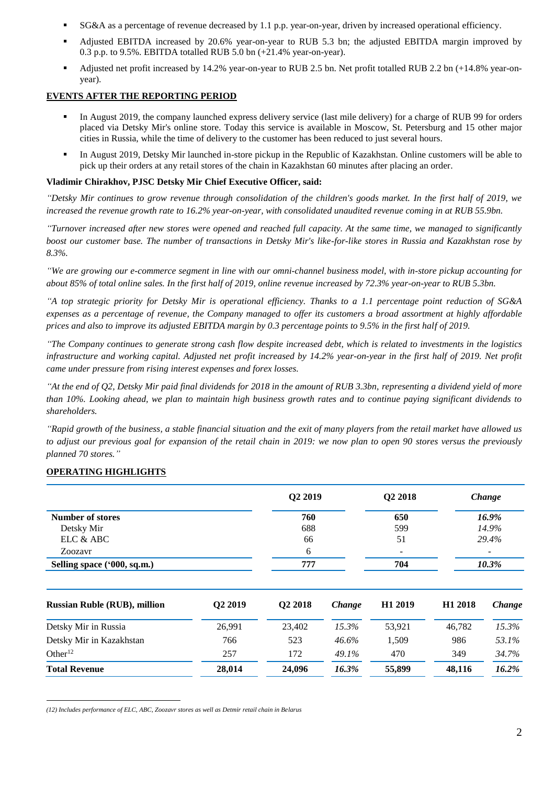- SG&A as a percentage of revenue decreased by 1.1 p.p. year-on-year, driven by increased operational efficiency.
- Adjusted EBITDA increased by 20.6% year-on-year to RUB 5.3 bn; the adjusted EBITDA margin improved by 0.3 p.p. to 9.5%. EBITDA totalled RUB 5.0 bn (+21.4% year-on-year).
- Adjusted net profit increased by 14.2% year-on-year to RUB 2.5 bn. Net profit totalled RUB 2.2 bn (+14.8% year-onyear).

## **EVENTS AFTER THE REPORTING PERIOD**

- In August 2019, the company launched express delivery service (last mile delivery) for a charge of RUB 99 for orders placed via Detsky Mir's online store. Today this service is available in Moscow, St. Petersburg and 15 other major cities in Russia, while the time of delivery to the customer has been reduced to just several hours.
- In August 2019, Detsky Mir launched in-store pickup in the Republic of Kazakhstan. Online customers will be able to pick up their orders at any retail stores of the chain in Kazakhstan 60 minutes after placing an order.

## **Vladimir Chirakhov, PJSC Detsky Mir Chief Executive Officer, said:**

*"Detsky Mir continues to grow revenue through consolidation of the children's goods market. In the first half of 2019, we increased the revenue growth rate to 16.2% year-on-year, with consolidated unaudited revenue coming in at RUB 55.9bn.* 

*"Turnover increased after new stores were opened and reached full capacity. At the same time, we managed to significantly boost our customer base. The number of transactions in Detsky Mir's like-for-like stores in Russia and Kazakhstan rose by 8.3%.* 

*"We are growing our e-commerce segment in line with our omni-channel business model, with in-store pickup accounting for about 85% of total online sales. In the first half of 2019, online revenue increased by 72.3% year-on-year to RUB 5.3bn.* 

*"A top strategic priority for Detsky Mir is operational efficiency. Thanks to a 1.1 percentage point reduction of SG&A expenses as a percentage of revenue, the Company managed to offer its customers a broad assortment at highly affordable prices and also to improve its adjusted EBITDA margin by 0.3 percentage points to 9.5% in the first half of 2019.*

*"The Company continues to generate strong cash flow despite increased debt, which is related to investments in the logistics infrastructure and working capital. Adjusted net profit increased by 14.2% year-on-year in the first half of 2019. Net profit came under pressure from rising interest expenses and forex losses.* 

*"At the end of Q2, Detsky Mir paid final dividends for 2018 in the amount of RUB 3.3bn, representing a dividend yield of more than 10%. Looking ahead, we plan to maintain high business growth rates and to continue paying significant dividends to shareholders.* 

*"Rapid growth of the business, a stable financial situation and the exit of many players from the retail market have allowed us to adjust our previous goal for expansion of the retail chain in 2019: we now plan to open 90 stores versus the previously planned 70 stores."*

## **OPERATING HIGHLIGHTS**

|                                     |                     | Q2 2019             |        | Q2 2018             | Change              |        |
|-------------------------------------|---------------------|---------------------|--------|---------------------|---------------------|--------|
| Number of stores                    |                     | 760                 |        | 650                 |                     | 16.9%  |
| Detsky Mir                          |                     | 688                 |        | 599                 |                     | 14.9%  |
| ELC & ABC                           |                     | 66                  |        | 51                  |                     | 29.4%  |
| Zoozavr                             |                     | 6                   |        |                     |                     |        |
| Selling space ('000, sq.m.)         |                     | 777                 |        | 704                 | 10.3%               |        |
| <b>Russian Ruble (RUB), million</b> | Q <sub>2</sub> 2019 | Q <sub>2</sub> 2018 | Change | H <sub>1</sub> 2019 | H <sub>1</sub> 2018 | Change |
| Detsky Mir in Russia                | 26,991              | 23,402              | 15.3%  | 53,921              | 46,782              | 15.3%  |
| Detsky Mir in Kazakhstan            | 766                 | 523                 | 46.6%  | 1,509               | 986                 | 53.1%  |
| Other $12$                          | 257                 | 172                 | 49.1%  | 470                 | 349                 | 34.7%  |
| <b>Total Revenue</b>                | 28,014              | 24,096              | 16.3%  | 55,899              | 48,116              | 16.2%  |

 $\overline{a}$ *(12) Includes performance of ELC, ABC, Zoozavr stores as well as Detmir retail chain in Belarus*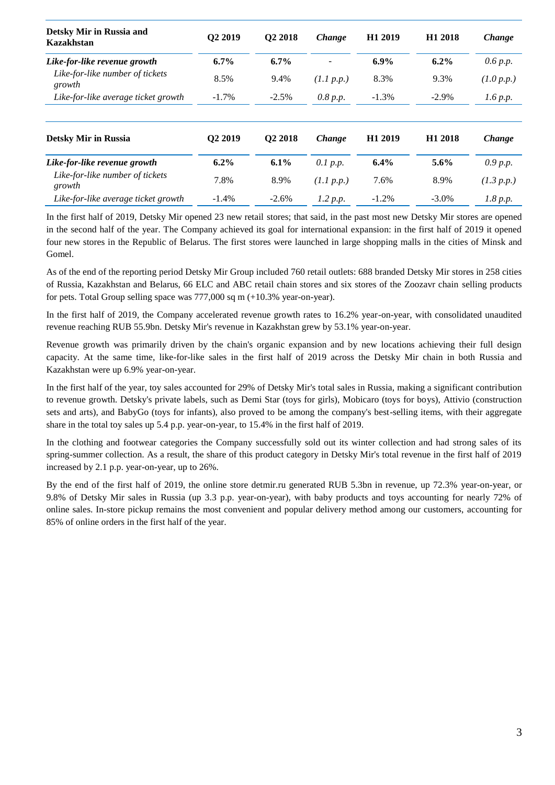| Detsky Mir in Russia and<br>Kazakhstan    | Q2 2019             | Q <sub>2</sub> 2018 | <b>Change</b> | H <sub>1</sub> 2019 | H <sub>1</sub> 2018 | Change     |
|-------------------------------------------|---------------------|---------------------|---------------|---------------------|---------------------|------------|
| Like-for-like revenue growth              | $6.7\%$             | $6.7\%$             |               | $6.9\%$             | $6.2\%$             | 0.6 p.p.   |
| Like-for-like number of tickets<br>growth | 8.5%                | 9.4%                | (1.1 p.p.)    | 8.3%                | 9.3%                | (1.0 p.p.) |
| Like-for-like average ticket growth       | $-1.7\%$            | $-2.5%$             | 0.8 p.p.      | $-1.3%$             | $-2.9\%$            | 1.6 p.p.   |
| <b>Detsky Mir in Russia</b>               | Q <sub>2</sub> 2019 | Q <sub>2</sub> 2018 | <b>Change</b> | H <sub>1</sub> 2019 | H <sub>1</sub> 2018 | Change     |
| Like-for-like revenue growth              | $6.2\%$             | $6.1\%$             | 0.1 p.p.      | $6.4\%$             | $5.6\%$             | 0.9 p.p.   |
| Like-for-like number of tickets<br>growth | 7.8%                | 8.9%                | (1.1 p.p.)    | 7.6%                | 8.9%                | (1.3 p.p.) |
| Like-for-like average ticket growth       | $-1.4%$             | $-2.6%$             | 1.2 p.p.      | $-1.2\%$            | $-3.0\%$            | 1.8 p.p.   |

In the first half of 2019, Detsky Mir opened 23 new retail stores; that said, in the past most new Detsky Mir stores are opened in the second half of the year. The Company achieved its goal for international expansion: in the first half of 2019 it opened four new stores in the Republic of Belarus. The first stores were launched in large shopping malls in the cities of Minsk and Gomel.

As of the end of the reporting period Detsky Mir Group included 760 retail outlets: 688 branded Detsky Mir stores in 258 cities of Russia, Kazakhstan and Belarus, 66 ELC and ABC retail chain stores and six stores of the Zoozavr chain selling products for pets. Total Group selling space was 777,000 sq m (+10.3% year-on-year).

In the first half of 2019, the Company accelerated revenue growth rates to 16.2% year-on-year, with consolidated unaudited revenue reaching RUB 55.9bn. Detsky Mir's revenue in Kazakhstan grew by 53.1% year-on-year.

Revenue growth was primarily driven by the chain's organic expansion and by new locations achieving their full design capacity. At the same time, like-for-like sales in the first half of 2019 across the Detsky Mir chain in both Russia and Kazakhstan were up 6.9% year-on-year.

In the first half of the year, toy sales accounted for 29% of Detsky Mir's total sales in Russia, making a significant contribution to revenue growth. Detsky's private labels, such as Demi Star (toys for girls), Mobicaro (toys for boys), Attivio (construction sets and arts), and BabyGo (toys for infants), also proved to be among the company's best-selling items, with their aggregate share in the total toy sales up 5.4 p.p. year-on-year, to 15.4% in the first half of 2019.

In the clothing and footwear categories the Company successfully sold out its winter collection and had strong sales of its spring-summer collection. As a result, the share of this product category in Detsky Mir's total revenue in the first half of 2019 increased by 2.1 p.p. year-on-year, up to 26%.

By the end of the first half of 2019, the online store detmir.ru generated RUB 5.3bn in revenue, up 72.3% year-on-year, or 9.8% of Detsky Mir sales in Russia (up 3.3 p.p. year-on-year), with baby products and toys accounting for nearly 72% of online sales. In-store pickup remains the most convenient and popular delivery method among our customers, accounting for 85% of online orders in the first half of the year.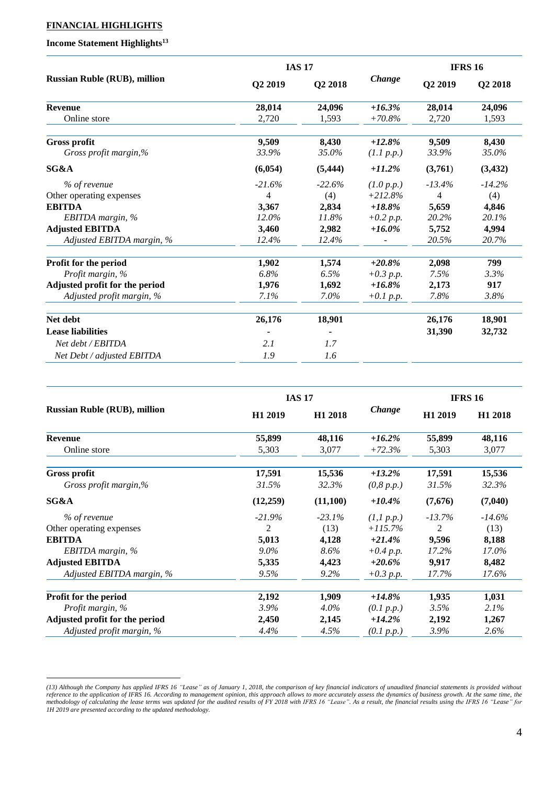## **FINANCIAL HIGHLIGHTS**

# **Income Statement Highlights<sup>13</sup>**

 $\overline{a}$ 

|                                     |          | <b>IAS 17</b> |             | <b>IFRS 16</b> |           |
|-------------------------------------|----------|---------------|-------------|----------------|-----------|
| <b>Russian Ruble (RUB), million</b> | Q2 2019  | Q2 2018       | Change      | Q2 2019        | Q2 2018   |
| <b>Revenue</b>                      | 28,014   | 24,096        | $+16.3%$    | 28,014         | 24,096    |
| Online store                        | 2,720    | 1,593         | $+70.8\%$   | 2,720          | 1,593     |
| <b>Gross profit</b>                 | 9,509    | 8,430         | $+12.8%$    | 9,509          | 8,430     |
| Gross profit margin,%               | 33.9%    | 35.0%         | (1.1 p.p.)  | 33.9%          | 35.0%     |
| SG&A                                | (6,054)  | (5, 444)      | $+11.2%$    | (3,761)        | (3, 432)  |
| % of revenue                        | $-21.6%$ | $-22.6%$      | (1.0 p.p.)  | $-13.4\%$      | $-14.2\%$ |
| Other operating expenses            | 4        | (4)           | $+212.8%$   | 4              | (4)       |
| <b>EBITDA</b>                       | 3,367    | 2,834         | $+18.8\%$   | 5,659          | 4,846     |
| EBITDA margin, %                    | $12.0\%$ | 11.8%         | $+0.2 p.p.$ | 20.2%          | 20.1%     |
| <b>Adjusted EBITDA</b>              | 3,460    | 2,982         | $+16.0\%$   | 5,752          | 4,994     |
| Adjusted EBITDA margin, %           | 12.4%    | 12.4%         |             | 20.5%          | 20.7%     |
| Profit for the period               | 1,902    | 1,574         | $+20.8\%$   | 2,098          | 799       |
| Profit margin, %                    | 6.8%     | 6.5%          | $+0.3 p.p.$ | 7.5%           | 3.3%      |
| Adjusted profit for the period      | 1,976    | 1,692         | $+16.8\%$   | 2,173          | 917       |
| Adjusted profit margin, %           | $7.1\%$  | $7.0\%$       | $+0.1 p.p.$ | 7.8%           | 3.8%      |
| Net debt                            | 26,176   | 18,901        |             | 26,176         | 18,901    |
| <b>Lease liabilities</b>            |          |               |             | 31,390         | 32,732    |
| Net debt / EBITDA                   | 2.1      | 1.7           |             |                |           |
| Net Debt / adjusted EBITDA          | 1.9      | 1.6           |             |                |           |

|                                     |                     | <b>IAS 17</b>       |               | <b>IFRS 16</b>      |                     |
|-------------------------------------|---------------------|---------------------|---------------|---------------------|---------------------|
| <b>Russian Ruble (RUB), million</b> | H <sub>1</sub> 2019 | H <sub>1</sub> 2018 | <b>Change</b> | H <sub>1</sub> 2019 | H <sub>1</sub> 2018 |
| <b>Revenue</b>                      | 55,899              | 48,116              | $+16.2\%$     | 55,899              | 48,116              |
| Online store                        | 5,303               | 3,077               | $+72.3%$      | 5,303               | 3,077               |
| <b>Gross profit</b>                 | 17,591              | 15,536              | $+13.2%$      | 17,591              | 15,536              |
| Gross profit margin,%               | 31.5%               | 32.3%               | (0, 8 p.p.)   | 31.5%               | 32.3%               |
| SG&A                                | (12,259)            | (11,100)            | $+10.4\%$     | (7,676)             | (7,040)             |
| % of revenue                        | $-21.9%$            | $-23.1\%$           | (1,1 p.p.)    | $-13.7\%$           | $-14.6\%$           |
| Other operating expenses            | $\overline{2}$      | (13)                | $+115.7%$     | 2                   | (13)                |
| <b>EBITDA</b>                       | 5,013               | 4,128               | $+21.4%$      | 9,596               | 8,188               |
| EBITDA margin, $%$                  | $9.0\%$             | 8.6%                | $+0.4 p.p.$   | 17.2%               | 17.0%               |
| <b>Adjusted EBITDA</b>              | 5,335               | 4,423               | $+20.6\%$     | 9,917               | 8,482               |
| Adjusted EBITDA margin, %           | 9.5%                | $9.2\%$             | $+0.3 p.p.$   | 17.7%               | 17.6%               |
| Profit for the period               | 2,192               | 1,909               | $+14.8\%$     | 1,935               | 1,031               |
| Profit margin, %                    | $3.9\%$             | $4.0\%$             | (0.1 p.p.)    | 3.5%                | 2.1%                |
| Adjusted profit for the period      | 2,450               | 2,145               | $+14.2%$      | 2,192               | 1,267               |
| Adjusted profit margin, %           | 4.4%                | 4.5%                | (0.1 p.p.)    | 3.9%                | 2.6%                |

*<sup>(13)</sup> Although the Company has applied IFRS 16 "Lease" as of January 1, 2018, the comparison of key financial indicators of unaudited financial statements is provided without reference to the application of IFRS 16. According to management opinion, this approach allows to more accurately assess the dynamics of business growth. At the same time, the methodology of calculating the lease terms was updated for the audited results of FY 2018 with IFRS 16 "Lease". As a result, the financial results using the IFRS 16 "Lease" for 1H 2019 are presented according to the updated methodology.*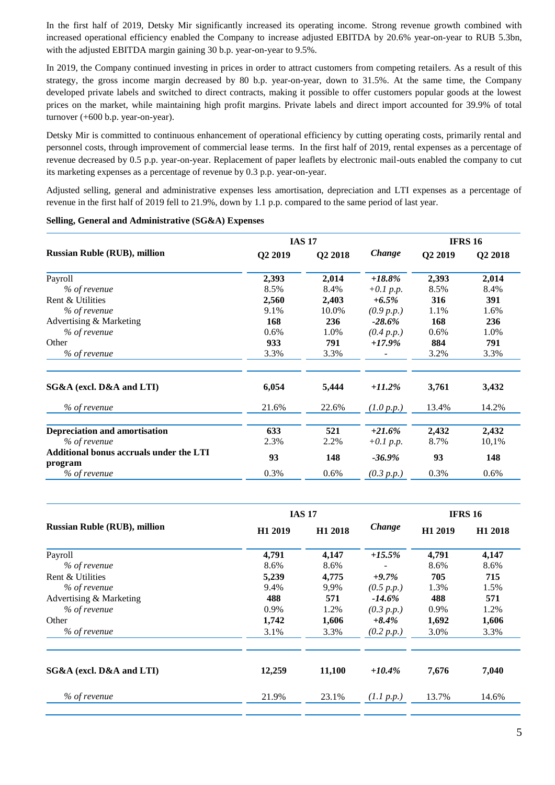In the first half of 2019, Detsky Mir significantly increased its operating income. Strong revenue growth combined with increased operational efficiency enabled the Company to increase adjusted EBITDA by 20.6% year-on-year to RUB 5.3bn, with the adjusted EBITDA margin gaining 30 b.p. year-on-year to 9.5%.

In 2019, the Company continued investing in prices in order to attract customers from competing retailers. As a result of this strategy, the gross income margin decreased by 80 b.p. year-on-year, down to 31.5%. At the same time, the Company developed private labels and switched to direct contracts, making it possible to offer customers popular goods at the lowest prices on the market, while maintaining high profit margins. Private labels and direct import accounted for 39.9% of total turnover (+600 b.p. year-on-year).

Detsky Mir is committed to continuous enhancement of operational efficiency by cutting operating costs, primarily rental and personnel costs, through improvement of commercial lease terms. In the first half of 2019, rental expenses as a percentage of revenue decreased by 0.5 p.p. year-on-year. Replacement of paper leaflets by electronic mail-outs enabled the company to cut its marketing expenses as a percentage of revenue by 0.3 p.p. year-on-year.

Adjusted selling, general and administrative expenses less amortisation, depreciation and LTI expenses as a percentage of revenue in the first half of 2019 fell to 21.9%, down by 1.1 p.p. compared to the same period of last year.

|                                                           |         | <b>IAS 17</b> |             |         | <b>IFRS 16</b> |
|-----------------------------------------------------------|---------|---------------|-------------|---------|----------------|
| <b>Russian Ruble (RUB), million</b>                       | Q2 2019 | Q2 2018       | Change      | Q2 2019 | Q2 2018        |
| Payroll                                                   | 2,393   | 2,014         | $+18.8\%$   | 2,393   | 2,014          |
| % of revenue                                              | 8.5%    | 8.4%          | $+0.1 p.p.$ | 8.5%    | 8.4%           |
| Rent & Utilities                                          | 2,560   | 2,403         | $+6.5\%$    | 316     | 391            |
| % of revenue                                              | 9.1%    | 10.0%         | (0.9 p.p.)  | 1.1%    | 1.6%           |
| Advertising & Marketing                                   | 168     | 236           | $-28.6%$    | 168     | 236            |
| % of revenue                                              | 0.6%    | 1.0%          | (0.4 p.p.)  | 0.6%    | 1.0%           |
| Other                                                     | 933     | 791           | $+17.9%$    | 884     | 791            |
| % of revenue                                              | 3.3%    | 3.3%          |             | 3.2%    | 3.3%           |
| SG&A (excl. D&A and LTI)                                  | 6,054   | 5,444         | $+11.2%$    | 3,761   | 3,432          |
| % of revenue                                              | 21.6%   | 22.6%         | (1.0 p.p.)  | 13.4%   | 14.2%          |
| <b>Depreciation and amortisation</b>                      | 633     | 521           | $+21.6%$    | 2,432   | 2,432          |
| % of revenue                                              | 2.3%    | 2.2%          | $+0.1 p.p.$ | 8.7%    | 10,1%          |
| <b>Additional bonus accruals under the LTI</b><br>program | 93      | 148           | $-36.9\%$   | 93      | 148            |
| % of revenue                                              | 0.3%    | 0.6%          | (0.3 p.p.)  | 0.3%    | 0.6%           |

#### **Selling, General and Administrative (SG&A) Expenses**

|                                     |                     | <b>IAS 17</b>       |            | <b>IFRS 16</b>      |                     |
|-------------------------------------|---------------------|---------------------|------------|---------------------|---------------------|
| <b>Russian Ruble (RUB), million</b> | H <sub>1</sub> 2019 | H <sub>1</sub> 2018 | Change     | H <sub>1</sub> 2019 | H <sub>1</sub> 2018 |
| Payroll                             | 4,791               | 4,147               | $+15.5%$   | 4,791               | 4,147               |
| % of revenue                        | 8.6%                | 8.6%                |            | 8.6%                | 8.6%                |
| Rent & Utilities                    | 5,239               | 4,775               | $+9.7%$    | 705                 | 715                 |
| % of revenue                        | 9.4%                | 9,9%                | (0.5 p.p.) | 1.3%                | 1.5%                |
| Advertising & Marketing             | 488                 | 571                 | $-14.6\%$  | 488                 | 571                 |
| % of revenue                        | 0.9%                | 1.2%                | (0.3 p.p.) | 0.9%                | 1.2%                |
| Other                               | 1,742               | 1,606               | $+8.4%$    | 1,692               | 1,606               |
| % of revenue                        | 3.1%                | 3.3%                | (0.2 p.p.) | 3.0%                | 3.3%                |
| SG&A (excl. D&A and LTI)            | 12,259              | 11,100              | $+10.4\%$  | 7,676               | 7,040               |
| % of revenue                        | 21.9%               | 23.1%               | (1.1 p.p.) | 13.7%               | 14.6%               |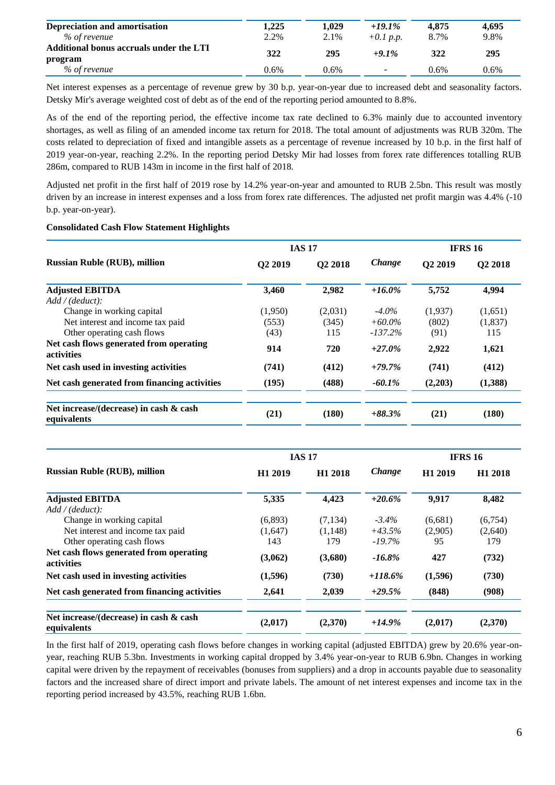| Depreciation and amortisation           | .225 | 1.029 | $+19.1%$                 | 4.875 | 4.695 |
|-----------------------------------------|------|-------|--------------------------|-------|-------|
| % of revenue                            | 2.2% | 2.1%  | $+0.1$ p.p.              | 8.7%  | 9.8%  |
| Additional bonus accruals under the LTI | 322  | 295   | $+9.1\%$                 | 322   | 295   |
| program                                 |      |       |                          |       |       |
| % of revenue                            | 0.6% | 0.6%  | $\overline{\phantom{a}}$ | 0.6%  | 0.6%  |

Net interest expenses as a percentage of revenue grew by 30 b.p. year-on-year due to increased debt and seasonality factors. Detsky Mir's average weighted cost of debt as of the end of the reporting period amounted to 8.8%.

As of the end of the reporting period, the effective income tax rate declined to 6.3% mainly due to accounted inventory shortages, as well as filing of an amended income tax return for 2018. The total amount of adjustments was RUB 320m. The costs related to depreciation of fixed and intangible assets as a percentage of revenue increased by 10 b.p. in the first half of 2019 year-on-year, reaching 2.2%. In the reporting period Detsky Mir had losses from forex rate differences totalling RUB 286m, compared to RUB 143m in income in the first half of 2018.

Adjusted net profit in the first half of 2019 rose by 14.2% year-on-year and amounted to RUB 2.5bn. This result was mostly driven by an increase in interest expenses and a loss from forex rate differences. The adjusted net profit margin was 4.4% (-10 b.p. year-on-year).

#### **Consolidated Cash Flow Statement Highlights**

|                                                              | <b>IAS 17</b>       |                     |               | <b>IFRS 16</b> |                     |
|--------------------------------------------------------------|---------------------|---------------------|---------------|----------------|---------------------|
| <b>Russian Ruble (RUB), million</b>                          | O <sub>2</sub> 2019 | Q <sub>2</sub> 2018 | <b>Change</b> | Q2 2019        | Q <sub>2</sub> 2018 |
| <b>Adjusted EBITDA</b>                                       | 3,460               | 2,982               | $+16.0\%$     | 5,752          | 4,994               |
| Add / (deduct):                                              |                     |                     |               |                |                     |
| Change in working capital                                    | (1,950)             | (2,031)             | $-4.0\%$      | (1,937)        | (1,651)             |
| Net interest and income tax paid                             | (553)               | (345)               | $+60.0\%$     | (802)          | (1,837)             |
| Other operating cash flows                                   | (43)                | 115                 | $-137.2%$     | (91)           | 115                 |
| Net cash flows generated from operating<br><b>activities</b> | 914                 | 720                 | $+27.0%$      | 2,922          | 1,621               |
| Net cash used in investing activities                        | (741)               | (412)               | $+79.7%$      | (741)          | (412)               |
| Net cash generated from financing activities                 | (195)               | (488)               | $-60.1\%$     | (2,203)        | (1,388)             |
| Net increase/(decrease) in cash & cash<br>equivalents        | (21)                | (180)               | $+88.3\%$     | (21)           | (180)               |

|                                                              |                     | <b>IAS 17</b>       |            | <b>IFRS 16</b>      |                     |
|--------------------------------------------------------------|---------------------|---------------------|------------|---------------------|---------------------|
| <b>Russian Ruble (RUB), million</b>                          | H <sub>1</sub> 2019 | H <sub>1</sub> 2018 | Change     | H <sub>1</sub> 2019 | H <sub>1</sub> 2018 |
| <b>Adjusted EBITDA</b>                                       | 5,335               | 4,423               | $+20.6%$   | 9,917               | 8,482               |
| Add / (deduct):                                              |                     |                     |            |                     |                     |
| Change in working capital                                    | (6,893)             | (7, 134)            | $-3.4\%$   | (6,681)             | (6,754)             |
| Net interest and income tax paid                             | (1,647)             | (1,148)             | $+43.5%$   | (2,905)             | (2,640)             |
| Other operating cash flows                                   | 143                 | 179                 | $-19.7\%$  | 95                  | 179                 |
| Net cash flows generated from operating<br><b>activities</b> | (3,062)             | (3,680)             | $-16.8\%$  | 427                 | (732)               |
| Net cash used in investing activities                        | (1,596)             | (730)               | $+118.6\%$ | (1,596)             | (730)               |
| Net cash generated from financing activities                 | 2,641               | 2,039               | $+29.5%$   | (848)               | (908)               |
| Net increase/(decrease) in cash & cash<br>equivalents        | (2,017)             | (2,370)             | $+14.9%$   | (2,017)             | (2,370)             |

In the first half of 2019, operating cash flows before changes in working capital (adjusted EBITDA) grew by 20.6% year-onyear, reaching RUB 5.3bn. Investments in working capital dropped by 3.4% year-on-year to RUB 6.9bn. Changes in working capital were driven by the repayment of receivables (bonuses from suppliers) and a drop in accounts payable due to seasonality factors and the increased share of direct import and private labels. The amount of net interest expenses and income tax in the reporting period increased by 43.5%, reaching RUB 1.6bn.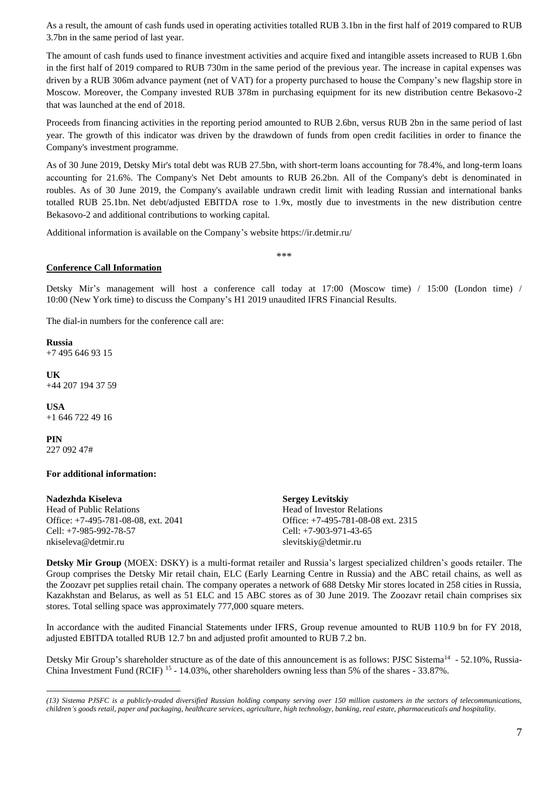As a result, the amount of cash funds used in operating activities totalled RUB 3.1bn in the first half of 2019 compared to RUB 3.7bn in the same period of last year.

The amount of cash funds used to finance investment activities and acquire fixed and intangible assets increased to RUB 1.6bn in the first half of 2019 compared to RUB 730m in the same period of the previous year. The increase in capital expenses was driven by a RUB 306m advance payment (net of VAT) for a property purchased to house the Company's new flagship store in Moscow. Moreover, the Company invested RUB 378m in purchasing equipment for its new distribution centre Bekasovo-2 that was launched at the end of 2018.

Proceeds from financing activities in the reporting period amounted to RUB 2.6bn, versus RUB 2bn in the same period of last year. The growth of this indicator was driven by the drawdown of funds from open credit facilities in order to finance the Company's investment programme.

As of 30 June 2019, Detsky Mir's total debt was RUB 27.5bn, with short-term loans accounting for 78.4%, and long-term loans accounting for 21.6%. The Company's Net Debt amounts to RUB 26.2bn. All of the Company's debt is denominated in roubles. As of 30 June 2019, the Company's available undrawn credit limit with leading Russian and international banks totalled RUB 25.1bn. Net debt/adjusted EBITDA rose to 1.9х, mostly due to investments in the new distribution centre Bekasovo-2 and additional contributions to working capital.

Additional information is available on the Company's website https://ir.detmir.ru/

\*\*\*

## **Conference Call Information**

Detsky Mir's management will host a conference call today at 17:00 (Moscow time) / 15:00 (London time) / 10:00 (New York time) to discuss the Company's H1 2019 unaudited IFRS Financial Results.

The dial-in numbers for the conference call are:

**Russia**  +7 495 646 93 15

**UK** +44 207 194 37 59

**USA** +1 646 722 49 16

**PIN** 227 092 47#

 $\overline{a}$ 

#### **For additional information:**

#### **Nadezhda Kiseleva** Head of Public Relations Office: +7-495-781-08-08, ext. 2041 Cell: +7-985-992-78-57 nkiseleva@detmir.ru

**Sergey Levitskiy** Head of Investor Relations Office: +7-495-781-08-08 ext. 2315 Cell: +7-903-971-43-65 slevitskiy@detmir.ru

**Detsky Mir Group** (MOEX: DSKY) is a multi-format retailer and Russia's largest specialized children's goods retailer. The Group comprises the Detsky Mir retail chain, ELC (Early Learning Centre in Russia) and the ABC retail chains, as well as the Zoozavr pet supplies retail chain. The company operates a network of 688 Detsky Mir stores located in 258 cities in Russia, Kazakhstan and Belarus, as well as 51 ELC and 15 ABC stores as of 30 June 2019. The Zoozavr retail chain comprises six stores. Total selling space was approximately 777,000 square meters.

In accordance with the audited Financial Statements under IFRS, Group revenue amounted to RUB 110.9 bn for FY 2018, adjusted EBITDA totalled RUB 12.7 bn and adjusted profit amounted to RUB 7.2 bn.

Detsky Mir Group's shareholder structure as of the date of this announcement is as follows: PJSC Sistema<sup>14</sup> - 52.10%, Russia-China Investment Fund (RCIF)<sup>15</sup> - 14.03%, other shareholders owning less than 5% of the shares - 33.87%.

*<sup>(13)</sup> Sistema PJSFC is a publicly-traded diversified Russian holding company serving over 150 million customers in the sectors of telecommunications, children's goods retail, paper and packaging, healthcare services, agriculture, high technology, banking, real estate, pharmaceuticals and hospitality.*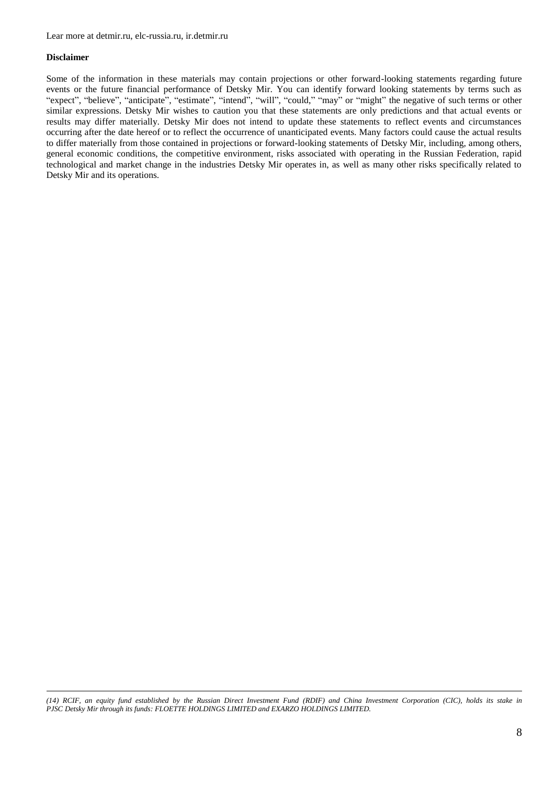#### **Disclaimer**

 $\overline{a}$ 

Some of the information in these materials may contain projections or other forward-looking statements regarding future events or the future financial performance of Detsky Mir. You can identify forward looking statements by terms such as "expect", "believe", "anticipate", "estimate", "intend", "will", "could," "may" or "might" the negative of such terms or other similar expressions. Detsky Mir wishes to caution you that these statements are only predictions and that actual events or results may differ materially. Detsky Mir does not intend to update these statements to reflect events and circumstances occurring after the date hereof or to reflect the occurrence of unanticipated events. Many factors could cause the actual results to differ materially from those contained in projections or forward-looking statements of Detsky Mir, including, among others, general economic conditions, the competitive environment, risks associated with operating in the Russian Federation, rapid technological and market change in the industries Detsky Mir operates in, as well as many other risks specifically related to Detsky Mir and its operations.

*(14) RCIF, an equity fund established by the Russian Direct Investment Fund (RDIF) and China Investment Corporation (CIC), holds its stake in PJSC Detsky Mir through its funds: FLOETTE HOLDINGS LIMITED and EXARZO HOLDINGS LIMITED.*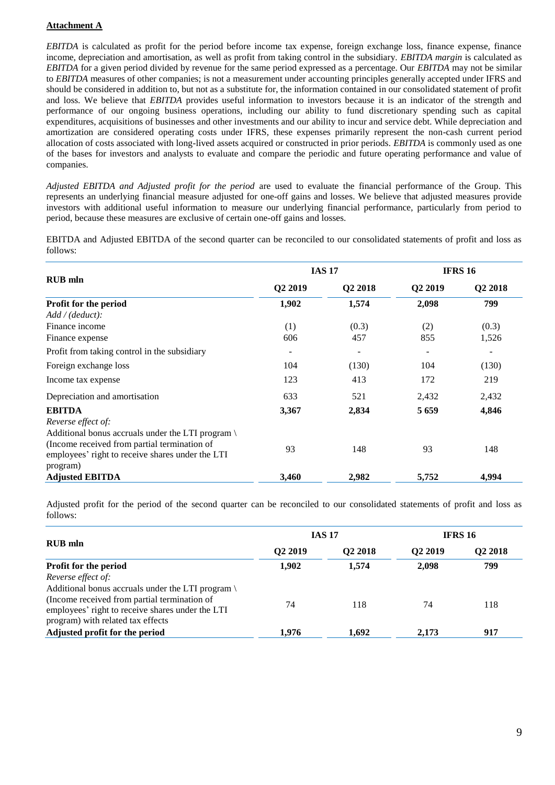## **Attachment A**

*EBITDA* is calculated as profit for the period before income tax expense, foreign exchange loss, finance expense, finance income, depreciation and amortisation, as well as profit from taking control in the subsidiary. *EBITDA margin* is calculated as *EBITDA* for a given period divided by revenue for the same period expressed as a percentage. Our *EBITDA* may not be similar to *EBITDA* measures of other companies; is not a measurement under accounting principles generally accepted under IFRS and should be considered in addition to, but not as a substitute for, the information contained in our consolidated statement of profit and loss. We believe that *EBITDA* provides useful information to investors because it is an indicator of the strength and performance of our ongoing business operations, including our ability to fund discretionary spending such as capital expenditures, acquisitions of businesses and other investments and our ability to incur and service debt. While depreciation and amortization are considered operating costs under IFRS, these expenses primarily represent the non-cash current period allocation of costs associated with long-lived assets acquired or constructed in prior periods. *EBITDA* is commonly used as one of the bases for investors and analysts to evaluate and compare the periodic and future operating performance and value of companies.

*Adjusted EBITDA and Adjusted profit for the period* are used to evaluate the financial performance of the Group. This represents an underlying financial measure adjusted for one-off gains and losses. We believe that adjusted measures provide investors with additional useful information to measure our underlying financial performance, particularly from period to period, because these measures are exclusive of certain one-off gains and losses.

EBITDA and Adjusted EBITDA of the second quarter can be reconciled to our consolidated statements of profit and loss as follows:

|                                                                                                                                                                                         |                          | <b>IAS 17</b>            | <b>IFRS 16</b>           |         |  |
|-----------------------------------------------------------------------------------------------------------------------------------------------------------------------------------------|--------------------------|--------------------------|--------------------------|---------|--|
| <b>RUB</b> mln                                                                                                                                                                          | Q2 2019                  | Q2 2018                  | Q2 2019                  | Q2 2018 |  |
| Profit for the period                                                                                                                                                                   | 1,902                    | 1,574                    | 2,098                    | 799     |  |
| Add / (deduct).                                                                                                                                                                         |                          |                          |                          |         |  |
| Finance income                                                                                                                                                                          | (1)                      | (0.3)                    | (2)                      | (0.3)   |  |
| Finance expense                                                                                                                                                                         | 606                      | 457                      | 855                      | 1,526   |  |
| Profit from taking control in the subsidiary                                                                                                                                            | $\overline{\phantom{a}}$ | $\overline{\phantom{a}}$ | $\overline{\phantom{a}}$ | -       |  |
| Foreign exchange loss                                                                                                                                                                   | 104                      | (130)                    | 104                      | (130)   |  |
| Income tax expense                                                                                                                                                                      | 123                      | 413                      | 172                      | 219     |  |
| Depreciation and amortisation                                                                                                                                                           | 633                      | 521                      | 2,432                    | 2,432   |  |
| <b>EBITDA</b>                                                                                                                                                                           | 3,367                    | 2,834                    | 5659                     | 4,846   |  |
| Reverse effect of:<br>Additional bonus accruals under the LTI program \<br>(Income received from partial termination of<br>employees' right to receive shares under the LTI<br>program) | 93                       | 148                      | 93                       | 148     |  |
| <b>Adjusted EBITDA</b>                                                                                                                                                                  | 3,460                    | 2,982                    | 5,752                    | 4,994   |  |

Adjusted profit for the period of the second quarter can be reconciled to our consolidated statements of profit and loss as follows:

|                                                                                                                                                                                          |                     | <b>IAS 17</b>       | <b>IFRS 16</b>      |                     |  |
|------------------------------------------------------------------------------------------------------------------------------------------------------------------------------------------|---------------------|---------------------|---------------------|---------------------|--|
| <b>RUB</b> mln                                                                                                                                                                           | O <sub>2</sub> 2019 | O <sub>2</sub> 2018 | O <sub>2</sub> 2019 | O <sub>2</sub> 2018 |  |
| Profit for the period                                                                                                                                                                    | 1,902               | 1,574               | 2.098               | 799                 |  |
| Reverse effect of:                                                                                                                                                                       |                     |                     |                     |                     |  |
| Additional bonus accruals under the LTI program<br>(Income received from partial termination of<br>employees' right to receive shares under the LTI<br>program) with related tax effects | 74                  | 118                 | 74                  | 118                 |  |
| Adjusted profit for the period                                                                                                                                                           | 1,976               | 1.692               | 2.173               | 917                 |  |